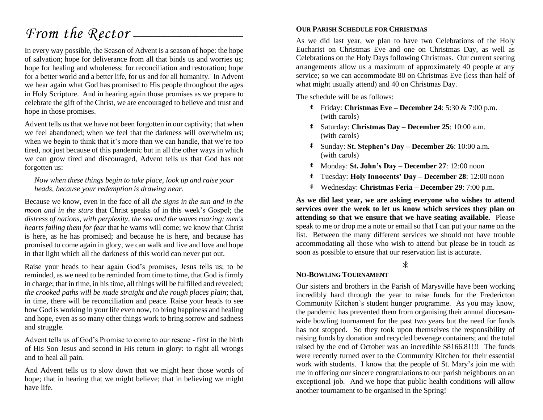# *From the Rector* —

In every way possible, the Season of Advent is a season of hope: the hope of salvation; hope for deliverance from all that binds us and worries us; hope for healing and wholeness; for reconciliation and restoration; hope for a better world and a better life, for us and for all humanity. In Advent we hear again what God has promised to His people throughout the ages in Holy Scripture. And in hearing again those promises as we prepare to celebrate the gift of the Christ, we are encouraged to believe and trust and hope in those promises.

Advent tells us that we have not been forgotten in our captivity; that when we feel abandoned; when we feel that the darkness will overwhelm us; when we begin to think that it's more than we can handle, that we're too tired, not just because of this pandemic but in all the other ways in which we can grow tired and discouraged, Advent tells us that God has not forgotten us:

*Now when these things begin to take place, look up and raise your heads, because your redemption is drawing near.* 

Because we know, even in the face of all *the signs in the sun and in the moon and in the stars* that Christ speaks of in this week's Gospel; the *distress of nations, with perplexity, the sea and the waves roaring; men's hearts failing them for fear* that he warns will come; we know that Christ is here, as he has promised; and because he is here, and because has promised to come again in glory, we can walk and live and love and hope in that light which all the darkness of this world can never put out.

Raise your heads to hear again God's promises, Jesus tells us; to be reminded, as we need to be reminded from time to time, that God is firmly in charge; that in time, in his time, all things will be fulfilled and revealed; *the crooked paths will be made straight and the rough places plain*; that, in time, there will be reconciliation and peace. Raise your heads to see how God is working in your life even now, to bring happiness and healing and hope, even as so many other things work to bring sorrow and sadness and struggle.

Advent tells us of God's Promise to come to our rescue - first in the birth of His Son Jesus and second in His return in glory: to right all wrongs and to heal all pain.

And Advent tells us to slow down that we might hear those words of hope; that in hearing that we might believe; that in believing we might have life.

#### **OUR PARISH SCHEDULE FOR CHRISTMAS**

As we did last year, we plan to have two Celebrations of the Holy Eucharist on Christmas Eve and one on Christmas Day, as well as Celebrations on the Holy Days following Christmas. Our current seating arrangements allow us a maximum of approximately 40 people at any service; so we can accommodate 80 on Christmas Eve (less than half of what might usually attend) and 40 on Christmas Day.

The schedule will be as follows:

- Friday: **Christmas Eve – December 24**: 5:30 & 7:00 p.m. (with carols)
- Saturday: **Christmas Day – December 25**: 10:00 a.m. (with carols)
- Sunday: **St. Stephen's Day – December 26**: 10:00 a.m. (with carols)
- Monday: **St. John's Day – December 27**: 12:00 noon
- Tuesday: **Holy Innocents' Day – December 28**: 12:00 noon
- Wednesday: **Christmas Feria – December 29**: 7:00 p.m. \*

**As we did last year, we are asking everyone who wishes to attend services over the week to let us know which services they plan on attending so that we ensure that we have seating available.** Please speak to me or drop me a note or email so that I can put your name on the list. Between the many different services we should not have trouble accommodating all those who wish to attend but please be in touch as soon as possible to ensure that our reservation list is accurate.

#### $\ast$

#### **NO-BOWLING TOURNAMENT**

Our sisters and brothers in the Parish of Marysville have been working incredibly hard through the year to raise funds for the Fredericton Community Kitchen's student hunger programme. As you may know, the pandemic has prevented them from organising their annual diocesanwide bowling tournament for the past two years but the need for funds has not stopped. So they took upon themselves the responsibility of raising funds by donation and recycled beverage containers; and the total raised by the end of October was an incredible \$8166.81!!! The funds were recently turned over to the Community Kitchen for their essential work with students. I know that the people of St. Mary's join me with me in offering our sincere congratulations to our parish neighbours on an exceptional job. And we hope that public health conditions will allow another tournament to be organised in the Spring!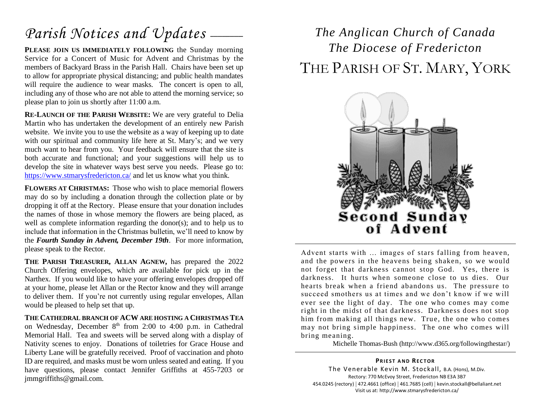# Parish Notices and Updates —

PLEASE JOIN US IMMEDIATELY FOLLOWING the Sunday morning Service for a Concert of Music for Advent and Christmas by the members of Backyard Brass in the Parish Hall. Chairs have been set up to allow for appropriate physical distancing; and public health mandates will require the audience to wear masks. The concert is open to all, including any of those who are not able to attend the morning service; so please plan to join us shortly after 11:00 a.m.

**RE-LAUNCH OF THE PARISH WEBSITE:** We are very grateful to Delia Martin who has undertaken the development of an entirely new Parish website. We invite you to use the website as a way of keeping up to date with our spiritual and community life here at St. Mary's; and we very much want to hear from you. Your feedback will ensure that the site is both accurate and functional; and your suggestions will help us to develop the site in whatever ways best serve you needs. Please go to: <https://www.stmarysfredericton.ca/> and let us know what you think.

**FLOWERS AT CHRISTMAS:** Those who wish to place memorial flowers may do so by including a donation through the collection plate or by dropping it off at the Rectory. Please ensure that your donation includes the names of those in whose memory the flowers are being placed, as well as complete information regarding the donor(s); and to help us to include that information in the Christmas bulletin, we'll need to know by the *Fourth Sunday in Advent, December 19th*. For more information, please speak to the Rector.

**THE PARISH TREASURER, ALLAN AGNEW,** has prepared the 2022 Church Offering envelopes, which are available for pick up in the Narthex. If you would like to have your offering envelopes dropped off at your home, please let Allan or the Rector know and they will arrange to deliver them. If you're not currently using regular envelopes, Allan would be pleased to help set that up.

**THE CATHEDRAL BRANCH OF ACW ARE HOSTING A CHRISTMAS TEA** on Wednesday, December  $8<sup>th</sup>$  from 2:00 to 4:00 p.m. in Cathedral Memorial Hall. Tea and sweets will be served along with a display of Nativity scenes to enjoy. Donations of toiletries for Grace House and Liberty Lane will be gratefully received. Proof of vaccination and photo ID are required, and masks must be worn unless seated and eating. If you have questions, please contact Jennifer Griffiths at 455-7203 or jmmgriffiths@gmail.com.

## *The Anglican Church of Canada The Diocese of Fredericton* THE PARISH OF ST. MARY, YORK



Advent starts with … images of stars falling from heaven, and the powers in the heavens being shaken, so we would not forget that darkness cannot stop God. Yes, there is darkness. It hurts when someone close to us dies. Our hearts break when a friend abandons us. The pressure to succeed smothers us at times and we don't know if we will ever see the light of day. The one who comes may come right in the midst of that darkness. Darkness does not stop him from making all things new. True, the one who comes may not bring simple happiness. The one who comes will bring meaning.

Michelle Thomas-Bush (http://www.d365.org/followingthestar/)

**PRIEST AND RECTOR** The Venerable Kevin M. Stockall, B.A. (Hons), M.Div. Rectory: 770 McEvoy Street, Fredericton NB E3A 3B7 454.0245 (rectory) | 472.4661 (office) | 461.7685 (cell) | kevin.stockall@bellaliant.net Visit us at: http://www.stmarysfredericton.ca/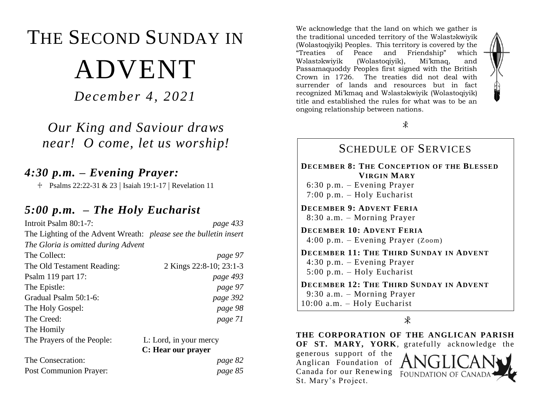# THE SECOND SUNDAY IN ADVENT

*December 4, 2021*

*Our King and Saviour draws near! O come, let us worship!*

## *4:30 p.m. – Evening Prayer:*

<sup> $\text{\textsterling}$ </sup> Psalms 22:22-31 & 23 | Isaiah 19:1-17 | Revelation 11

### *5:00 p.m. – The Holy Eucharist*

| Introit Psalm 80:1-7:                                                    | page 433                |
|--------------------------------------------------------------------------|-------------------------|
| The Lighting of the Advent Wreath: <i>please see the bulletin insert</i> |                         |
| The Gloria is omitted during Advent                                      |                         |
| The Collect:                                                             | page 97                 |
| The Old Testament Reading:                                               | 2 Kings 22:8-10; 23:1-3 |
| Psalm 119 part 17:                                                       | page 493                |
| The Epistle:                                                             | page 97                 |
| Gradual Psalm 50:1-6:                                                    | page 392                |
| The Holy Gospel:                                                         | page 98                 |
| The Creed:                                                               | page 71                 |
| The Homily                                                               |                         |
| The Prayers of the People:                                               | L: Lord, in your mercy  |
|                                                                          | C: Hear our prayer      |
| The Consecration:                                                        | page 82                 |
| <b>Post Communion Prayer:</b>                                            | page 85                 |

We acknowledge that the land on which we gather is the traditional unceded territory of the Wəlastəkwiyik (Wolastoqiyik) Peoples. This territory is covered by the "Treaties of Peace and Friendship" which Wəlastəkwiyik (Wolastoqiyik), Mi'kmaq, and Passamaquoddy Peoples first signed with the British Crown in 1726. The treaties did not deal with surrender of lands and resources but in fact recognized Mi'kmaq and Wəlastəkwiyik (Wolastoqiyik) title and established the rules for what was to be an ongoing relationship between nations.



#### SCHEDULE OF SERVICES **DECEMBER 8: THE CONCEPTION OF THE BLESSED VIRGIN MARY** 6:30 p.m. – Evening Prayer 7:00 p.m. – Holy Eucharist **DECEMBER 9: ADVENT FERIA** 8:30 a.m. – Morning Prayer **DECEMBER 10: ADVENT FERIA** 4:00 p.m. – Evening Prayer (Zoom) **DECEMBER 11: THE THIRD SUNDAY IN ADVENT** 4:30 p.m. – Evening Prayer 5:00 p.m. – Holy Eucharist **DECEMBER 12: THE THIRD SUNDAY IN ADVENT** 9:30 a.m. – Morning Prayer 10:00 a.m. – Holy Eucharist

 $\ast$ 

**THE CORPORATION OF THE ANGLICAN PARISH OF ST. MARY, YORK**, gratefully acknowledge the

generous support of the Anglican Foundation of Canada for our Renewing St. Mary's Project.

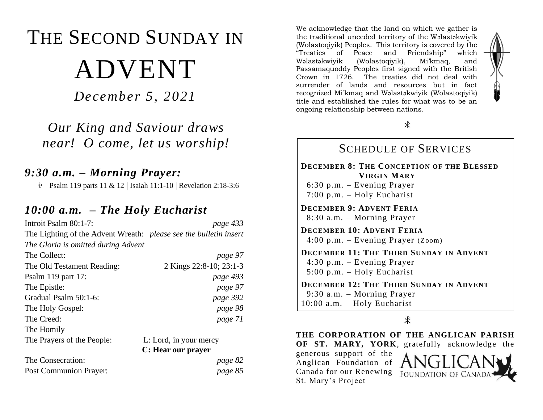# THE SECOND SUNDAY IN ADVENT

*December 5, 2021*

*Our King and Saviour draws near! O come, let us worship!*

### *9:30 a.m. – Morning Prayer:*

 $\text{\textsterling}$  Psalm 119 parts 11 & 12 | Isaiah 11:1-10 | Revelation 2:18-3:6

### *10:00 a.m. – The Holy Eucharist*

| Introit Psalm 80:1-7:                                             | page 433                |
|-------------------------------------------------------------------|-------------------------|
| The Lighting of the Advent Wreath: please see the bulletin insert |                         |
| The Gloria is omitted during Advent                               |                         |
| The Collect:                                                      | page 97                 |
| The Old Testament Reading:                                        | 2 Kings 22:8-10; 23:1-3 |
| Psalm 119 part 17:                                                | page 493                |
| The Epistle:                                                      | page 97                 |
| Gradual Psalm 50:1-6:                                             | page 392                |
| The Holy Gospel:                                                  | page 98                 |
| The Creed:                                                        | page 71                 |
| The Homily                                                        |                         |
| The Prayers of the People:                                        | L: Lord, in your mercy  |
|                                                                   | C: Hear our prayer      |
| The Consecration:                                                 | page 82                 |

Post Communion Prayer: *page 85*

We acknowledge that the land on which we gather is the traditional unceded territory of the Wəlastəkwiyik (Wolastoqiyik) Peoples. This territory is covered by the "Treaties of Peace and Friendship" which Wəlastəkwiyik (Wolastoqiyik), Mi'kmaq, and Passamaquoddy Peoples first signed with the British Crown in 1726. The treaties did not deal with surrender of lands and resources but in fact recognized Mi'kmaq and Wəlastəkwiyik (Wolastoqiyik) title and established the rules for what was to be an ongoing relationship between nations.



#### SCHEDULE OF SERVICES **DECEMBER 8: THE CONCEPTION OF THE BLESSED VIRGIN MARY** 6:30 p.m. – Evening Prayer 7:00 p.m. – Holy Eucharist **DECEMBER 9: ADVENT FERIA** 8:30 a.m. – Morning Prayer **DECEMBER 10: ADVENT FERIA** 4:00 p.m. – Evening Prayer (Zoom) **DECEMBER 11: THE THIRD SUNDAY IN ADVENT** 4:30 p.m. – Evening Prayer 5:00 p.m. – Holy Eucharist **DECEMBER 12: THE THIRD SUNDAY IN ADVENT** 9:30 a.m. – Morning Prayer 10:00 a.m. – Holy Eucharist

 $\ast$ 

**THE CORPORATION OF THE ANGLICAN PARISH OF ST. MARY, YORK**, gratefully acknowledge the

generous support of the Anglican Foundation of Canada for our Renewing St. Mary's Project